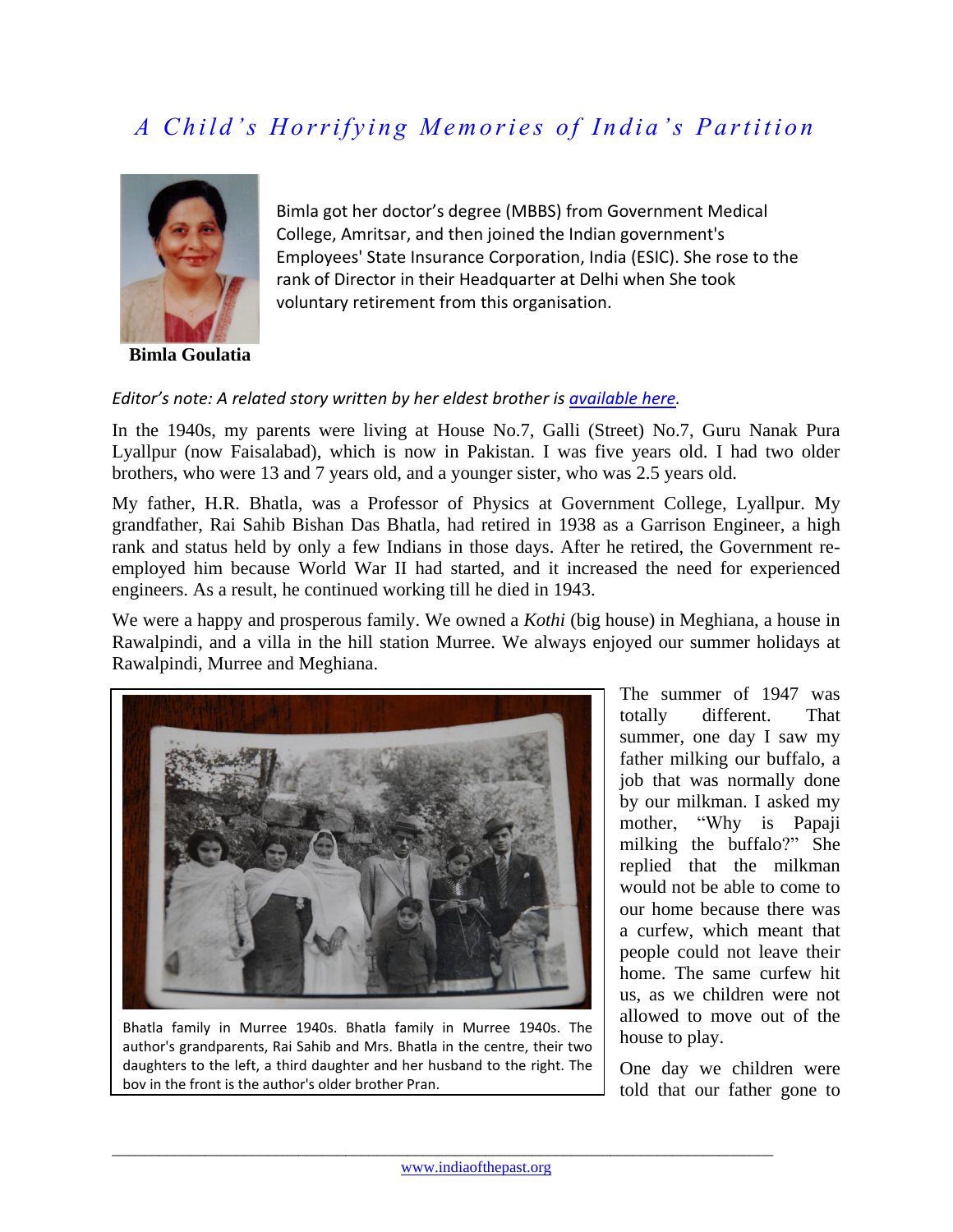## *A Child's Horrifying Memories of India's Partition*



**Bimla Goulatia**

Bimla got her doctor's degree (MBBS) from Government Medical College, Amritsar, and then joined the Indian government's Employees' State Insurance Corporation, India (ESIC). She rose to the rank of Director in their Headquarter at Delhi when She took voluntary retirement from this organisation.

## *Editor's note: A related story written by her eldest brother i[s available here.](http://www.indiaofthepast.org/contribute-memories/read-contributions/major-events-pre-1950/152-from-meghiana-to-hoshiarpur-by-pran-bhatla)*

In the 1940s, my parents were living at House No.7, Galli (Street) No.7, Guru Nanak Pura Lyallpur (now Faisalabad), which is now in Pakistan. I was five years old. I had two older brothers, who were 13 and 7 years old, and a younger sister, who was 2.5 years old.

My father, H.R. Bhatla, was a Professor of Physics at Government College, Lyallpur. My grandfather, Rai Sahib Bishan Das Bhatla, had retired in 1938 as a Garrison Engineer, a high rank and status held by only a few Indians in those days. After he retired, the Government reemployed him because World War II had started, and it increased the need for experienced engineers. As a result, he continued working till he died in 1943.

We were a happy and prosperous family. We owned a *Kothi* (big house) in Meghiana, a house in Rawalpindi, and a villa in the hill station Murree. We always enjoyed our summer holidays at Rawalpindi, Murree and Meghiana.



Bhatla family in Murree 1940s. Bhatla family in Murree 1940s. The author's grandparents, Rai Sahib and Mrs. Bhatla in the centre, their two daughters to the left, a third daughter and her husband to the right. The boy in the front is the author's older brother Pran.

The summer of 1947 was totally different. That summer, one day I saw my father milking our buffalo, a job that was normally done by our milkman. I asked my mother, "Why is Papaji milking the buffalo?" She replied that the milkman would not be able to come to our home because there was a curfew, which meant that people could not leave their home. The same curfew hit us, as we children were not allowed to move out of the house to play.

One day we children were told that our father gone to

 $\_$  ,  $\_$  ,  $\_$  ,  $\_$  ,  $\_$  ,  $\_$  ,  $\_$  ,  $\_$  ,  $\_$  ,  $\_$  ,  $\_$  ,  $\_$  ,  $\_$  ,  $\_$  ,  $\_$  ,  $\_$  ,  $\_$  ,  $\_$  ,  $\_$  ,  $\_$  ,  $\_$  ,  $\_$  ,  $\_$  ,  $\_$  ,  $\_$  ,  $\_$  ,  $\_$  ,  $\_$  ,  $\_$  ,  $\_$  ,  $\_$  ,  $\_$  ,  $\_$  ,  $\_$  ,  $\_$  ,  $\_$  ,  $\_$  ,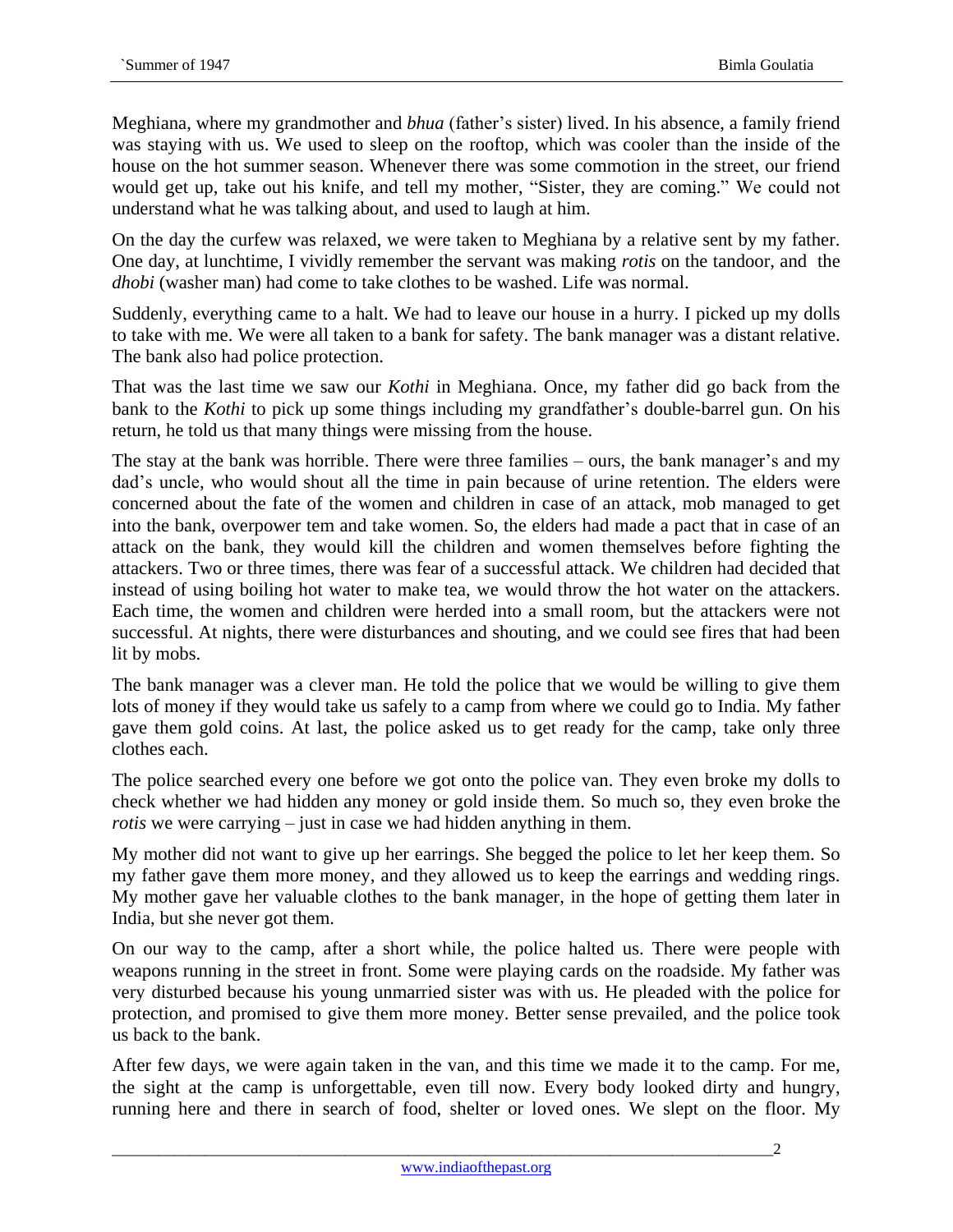Meghiana, where my grandmother and *bhua* (father's sister) lived. In his absence, a family friend was staying with us. We used to sleep on the rooftop, which was cooler than the inside of the house on the hot summer season. Whenever there was some commotion in the street, our friend would get up, take out his knife, and tell my mother, "Sister, they are coming." We could not understand what he was talking about, and used to laugh at him.

On the day the curfew was relaxed, we were taken to Meghiana by a relative sent by my father. One day, at lunchtime, I vividly remember the servant was making *rotis* on the tandoor, and the *dhobi* (washer man) had come to take clothes to be washed. Life was normal.

Suddenly, everything came to a halt. We had to leave our house in a hurry. I picked up my dolls to take with me. We were all taken to a bank for safety. The bank manager was a distant relative. The bank also had police protection.

That was the last time we saw our *Kothi* in Meghiana. Once, my father did go back from the bank to the *Kothi* to pick up some things including my grandfather's double-barrel gun. On his return, he told us that many things were missing from the house.

The stay at the bank was horrible. There were three families – ours, the bank manager's and my dad's uncle, who would shout all the time in pain because of urine retention. The elders were concerned about the fate of the women and children in case of an attack, mob managed to get into the bank, overpower tem and take women. So, the elders had made a pact that in case of an attack on the bank, they would kill the children and women themselves before fighting the attackers. Two or three times, there was fear of a successful attack. We children had decided that instead of using boiling hot water to make tea, we would throw the hot water on the attackers. Each time, the women and children were herded into a small room, but the attackers were not successful. At nights, there were disturbances and shouting, and we could see fires that had been lit by mobs.

The bank manager was a clever man. He told the police that we would be willing to give them lots of money if they would take us safely to a camp from where we could go to India. My father gave them gold coins. At last, the police asked us to get ready for the camp, take only three clothes each.

The police searched every one before we got onto the police van. They even broke my dolls to check whether we had hidden any money or gold inside them. So much so, they even broke the *rotis* we were carrying – just in case we had hidden anything in them.

My mother did not want to give up her earrings. She begged the police to let her keep them. So my father gave them more money, and they allowed us to keep the earrings and wedding rings. My mother gave her valuable clothes to the bank manager, in the hope of getting them later in India, but she never got them.

On our way to the camp, after a short while, the police halted us. There were people with weapons running in the street in front. Some were playing cards on the roadside. My father was very disturbed because his young unmarried sister was with us. He pleaded with the police for protection, and promised to give them more money. Better sense prevailed, and the police took us back to the bank.

After few days, we were again taken in the van, and this time we made it to the camp. For me, the sight at the camp is unforgettable, even till now. Every body looked dirty and hungry, running here and there in search of food, shelter or loved ones. We slept on the floor. My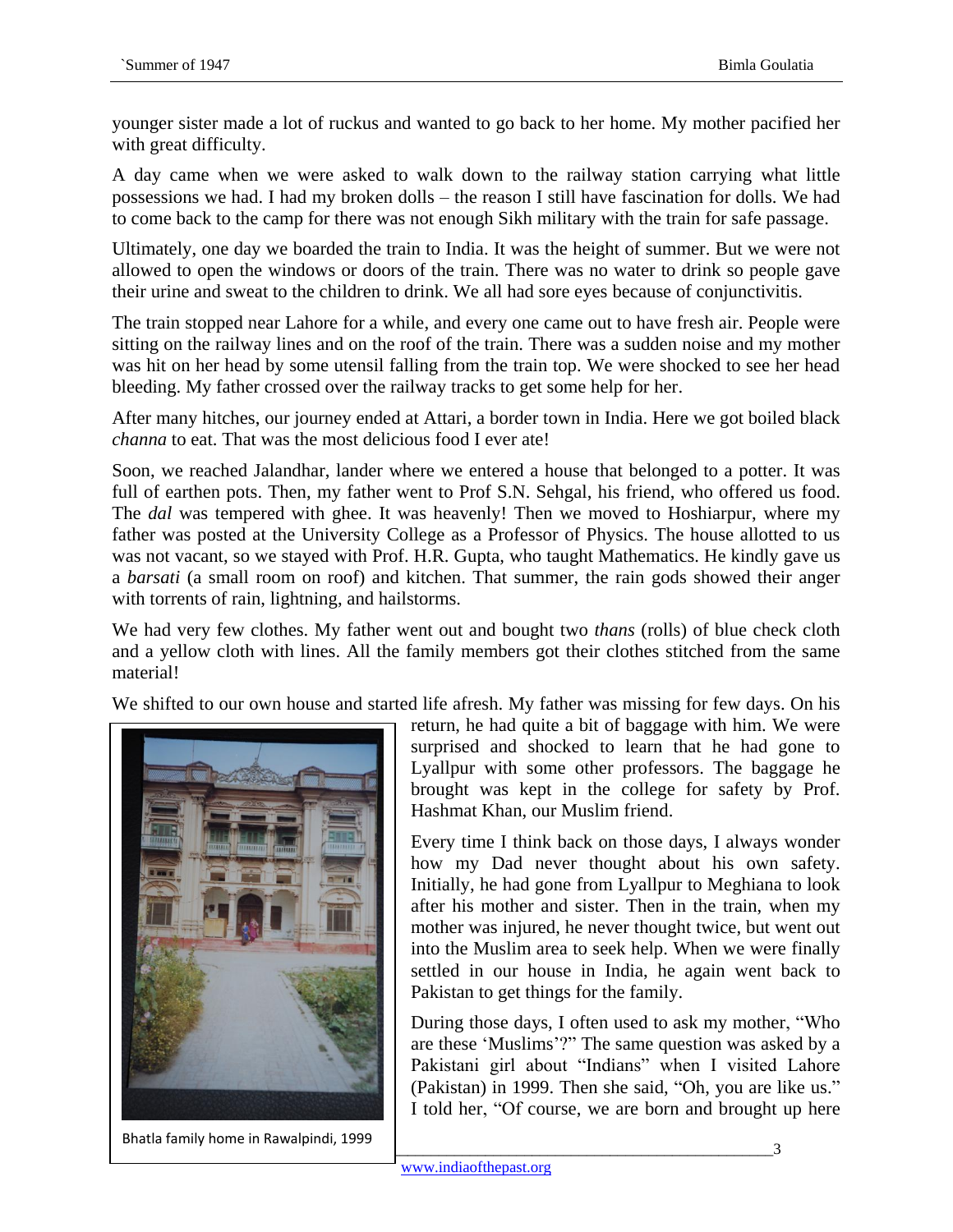younger sister made a lot of ruckus and wanted to go back to her home. My mother pacified her with great difficulty.

A day came when we were asked to walk down to the railway station carrying what little possessions we had. I had my broken dolls – the reason I still have fascination for dolls. We had to come back to the camp for there was not enough Sikh military with the train for safe passage.

Ultimately, one day we boarded the train to India. It was the height of summer. But we were not allowed to open the windows or doors of the train. There was no water to drink so people gave their urine and sweat to the children to drink. We all had sore eyes because of conjunctivitis.

The train stopped near Lahore for a while, and every one came out to have fresh air. People were sitting on the railway lines and on the roof of the train. There was a sudden noise and my mother was hit on her head by some utensil falling from the train top. We were shocked to see her head bleeding. My father crossed over the railway tracks to get some help for her.

After many hitches, our journey ended at Attari, a border town in India. Here we got boiled black *channa* to eat. That was the most delicious food I ever ate!

Soon, we reached Jalandhar, lander where we entered a house that belonged to a potter. It was full of earthen pots. Then, my father went to Prof S.N. Sehgal, his friend, who offered us food. The *dal* was tempered with ghee. It was heavenly! Then we moved to Hoshiarpur, where my father was posted at the University College as a Professor of Physics. The house allotted to us was not vacant, so we stayed with Prof. H.R. Gupta, who taught Mathematics. He kindly gave us a *barsati* (a small room on roof) and kitchen. That summer, the rain gods showed their anger with torrents of rain, lightning, and hailstorms.

We had very few clothes. My father went out and bought two *thans* (rolls) of blue check cloth and a yellow cloth with lines. All the family members got their clothes stitched from the same material!

We shifted to our own house and started life afresh. My father was missing for few days. On his



\_\_\_\_\_\_\_\_\_\_\_\_\_\_\_\_\_\_\_\_\_\_\_\_\_\_\_\_\_\_\_\_\_\_\_\_\_\_\_\_\_\_\_\_\_\_\_\_\_\_\_\_\_\_\_\_\_\_\_\_\_\_\_\_\_\_\_\_\_\_\_\_\_\_\_\_\_\_\_\_\_\_\_\_\_3 Bhatla family home in Rawalpindi, 1999

return, he had quite a bit of baggage with him. We were surprised and shocked to learn that he had gone to Lyallpur with some other professors. The baggage he brought was kept in the college for safety by Prof. Hashmat Khan, our Muslim friend.

Every time I think back on those days, I always wonder how my Dad never thought about his own safety. Initially, he had gone from Lyallpur to Meghiana to look after his mother and sister. Then in the train, when my mother was injured, he never thought twice, but went out into the Muslim area to seek help. When we were finally settled in our house in India, he again went back to Pakistan to get things for the family.

During those days, I often used to ask my mother, "Who are these 'Muslims'?" The same question was asked by a Pakistani girl about "Indians" when I visited Lahore (Pakistan) in 1999. Then she said, "Oh, you are like us." I told her, "Of course, we are born and brought up here